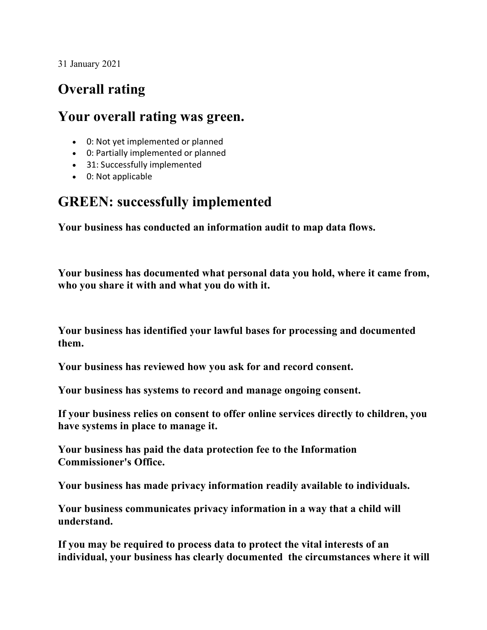31 January 2021

## **Overall rating**

## **Your overall rating was green.**

- 0: Not yet implemented or planned
- 0: Partially implemented or planned
- 31: Successfully implemented
- 0: Not applicable

## **GREEN: successfully implemented**

**Your business has conducted an information audit to map data flows.**

**Your business has documented what personal data you hold, where it came from, who you share it with and what you do with it.**

**Your business has identified your lawful bases for processing and documented them.**

**Your business has reviewed how you ask for and record consent.**

**Your business has systems to record and manage ongoing consent.**

**If your business relies on consent to offer online services directly to children, you have systems in place to manage it.**

**Your business has paid the data protection fee to the Information Commissioner's Office.**

**Your business has made privacy information readily available to individuals.**

**Your business communicates privacy information in a way that a child will understand.**

**If you may be required to process data to protect the vital interests of an individual, your business has clearly documented the circumstances where it will**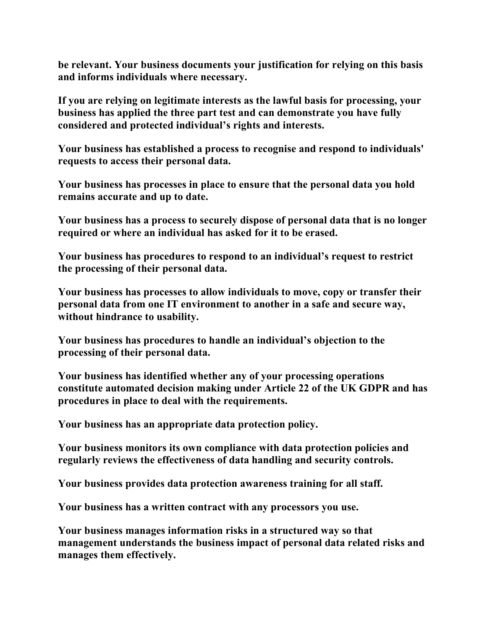**be relevant. Your business documents your justification for relying on this basis and informs individuals where necessary.**

**If you are relying on legitimate interests as the lawful basis for processing, your business has applied the three part test and can demonstrate you have fully considered and protected individual's rights and interests.**

**Your business has established a process to recognise and respond to individuals' requests to access their personal data.**

**Your business has processes in place to ensure that the personal data you hold remains accurate and up to date.**

**Your business has a process to securely dispose of personal data that is no longer required or where an individual has asked for it to be erased.**

**Your business has procedures to respond to an individual's request to restrict the processing of their personal data.**

**Your business has processes to allow individuals to move, copy or transfer their personal data from one IT environment to another in a safe and secure way, without hindrance to usability.**

**Your business has procedures to handle an individual's objection to the processing of their personal data.**

**Your business has identified whether any of your processing operations constitute automated decision making under Article 22 of the UK GDPR and has procedures in place to deal with the requirements.**

**Your business has an appropriate data protection policy.**

**Your business monitors its own compliance with data protection policies and regularly reviews the effectiveness of data handling and security controls.**

**Your business provides data protection awareness training for all staff.**

**Your business has a written contract with any processors you use.**

**Your business manages information risks in a structured way so that management understands the business impact of personal data related risks and manages them effectively.**